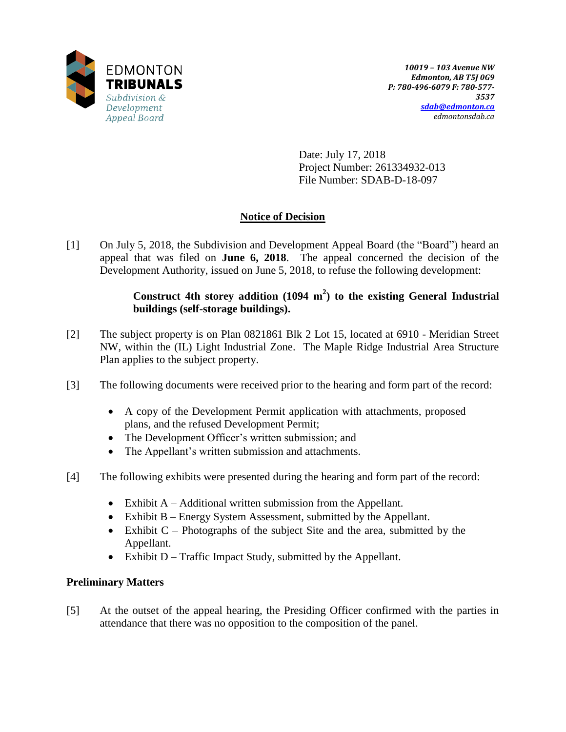

Date: July 17, 2018 Project Number: 261334932-013 File Number: SDAB-D-18-097

# **Notice of Decision**

[1] On July 5, 2018, the Subdivision and Development Appeal Board (the "Board") heard an appeal that was filed on **June 6, 2018**. The appeal concerned the decision of the Development Authority, issued on June 5, 2018, to refuse the following development:

# **Construct 4th storey addition (1094 m 2 ) to the existing General Industrial buildings (self-storage buildings).**

- [2] The subject property is on Plan 0821861 Blk 2 Lot 15, located at 6910 Meridian Street NW, within the (IL) Light Industrial Zone. The Maple Ridge Industrial Area Structure Plan applies to the subject property.
- [3] The following documents were received prior to the hearing and form part of the record:
	- A copy of the Development Permit application with attachments, proposed plans, and the refused Development Permit;
	- The Development Officer's written submission; and
	- The Appellant's written submission and attachments.
- [4] The following exhibits were presented during the hearing and form part of the record:
	- Exhibit A Additional written submission from the Appellant.
	- Exhibit B Energy System Assessment, submitted by the Appellant.
	- Exhibit  $C$  Photographs of the subject Site and the area, submitted by the Appellant.
	- $\bullet$  Exhibit D Traffic Impact Study, submitted by the Appellant.

## **Preliminary Matters**

[5] At the outset of the appeal hearing, the Presiding Officer confirmed with the parties in attendance that there was no opposition to the composition of the panel.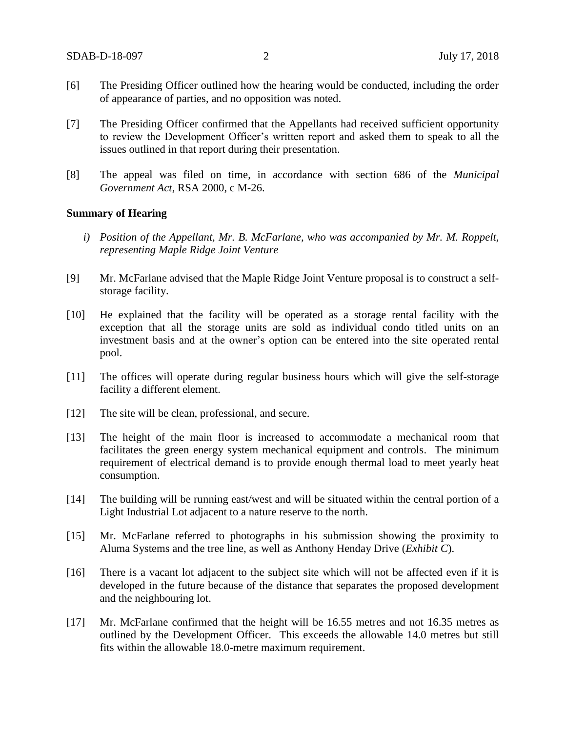- [6] The Presiding Officer outlined how the hearing would be conducted, including the order of appearance of parties, and no opposition was noted.
- [7] The Presiding Officer confirmed that the Appellants had received sufficient opportunity to review the Development Officer's written report and asked them to speak to all the issues outlined in that report during their presentation.
- [8] The appeal was filed on time, in accordance with section 686 of the *Municipal Government Act*, RSA 2000, c M-26.

#### **Summary of Hearing**

- *i) Position of the Appellant, Mr. B. McFarlane, who was accompanied by Mr. M. Roppelt, representing Maple Ridge Joint Venture*
- [9] Mr. McFarlane advised that the Maple Ridge Joint Venture proposal is to construct a selfstorage facility.
- [10] He explained that the facility will be operated as a storage rental facility with the exception that all the storage units are sold as individual condo titled units on an investment basis and at the owner's option can be entered into the site operated rental pool.
- [11] The offices will operate during regular business hours which will give the self-storage facility a different element.
- [12] The site will be clean, professional, and secure.
- [13] The height of the main floor is increased to accommodate a mechanical room that facilitates the green energy system mechanical equipment and controls. The minimum requirement of electrical demand is to provide enough thermal load to meet yearly heat consumption.
- [14] The building will be running east/west and will be situated within the central portion of a Light Industrial Lot adjacent to a nature reserve to the north.
- [15] Mr. McFarlane referred to photographs in his submission showing the proximity to Aluma Systems and the tree line, as well as Anthony Henday Drive (*Exhibit C*).
- [16] There is a vacant lot adjacent to the subject site which will not be affected even if it is developed in the future because of the distance that separates the proposed development and the neighbouring lot.
- [17] Mr. McFarlane confirmed that the height will be 16.55 metres and not 16.35 metres as outlined by the Development Officer. This exceeds the allowable 14.0 metres but still fits within the allowable 18.0-metre maximum requirement.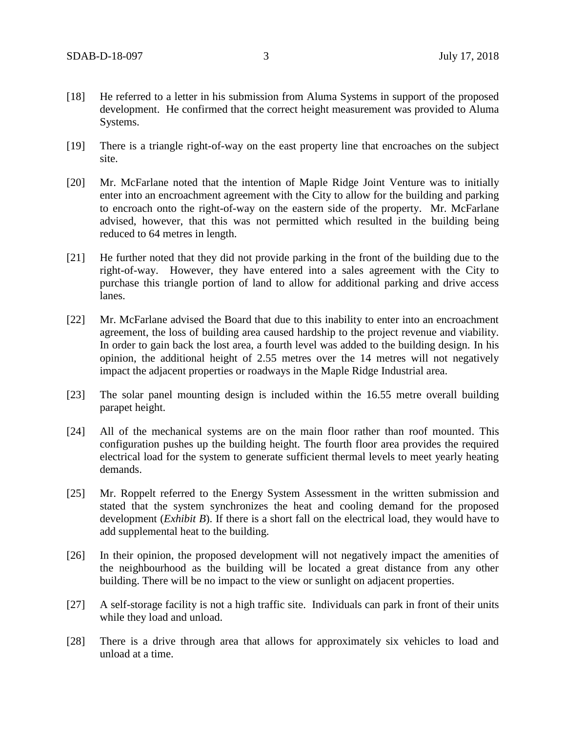- [18] He referred to a letter in his submission from Aluma Systems in support of the proposed development. He confirmed that the correct height measurement was provided to Aluma Systems.
- [19] There is a triangle right-of-way on the east property line that encroaches on the subject site.
- [20] Mr. McFarlane noted that the intention of Maple Ridge Joint Venture was to initially enter into an encroachment agreement with the City to allow for the building and parking to encroach onto the right-of-way on the eastern side of the property. Mr. McFarlane advised, however, that this was not permitted which resulted in the building being reduced to 64 metres in length.
- [21] He further noted that they did not provide parking in the front of the building due to the right-of-way. However, they have entered into a sales agreement with the City to purchase this triangle portion of land to allow for additional parking and drive access lanes.
- [22] Mr. McFarlane advised the Board that due to this inability to enter into an encroachment agreement, the loss of building area caused hardship to the project revenue and viability. In order to gain back the lost area, a fourth level was added to the building design. In his opinion, the additional height of 2.55 metres over the 14 metres will not negatively impact the adjacent properties or roadways in the Maple Ridge Industrial area.
- [23] The solar panel mounting design is included within the 16.55 metre overall building parapet height.
- [24] All of the mechanical systems are on the main floor rather than roof mounted. This configuration pushes up the building height. The fourth floor area provides the required electrical load for the system to generate sufficient thermal levels to meet yearly heating demands.
- [25] Mr. Roppelt referred to the Energy System Assessment in the written submission and stated that the system synchronizes the heat and cooling demand for the proposed development (*Exhibit B*). If there is a short fall on the electrical load, they would have to add supplemental heat to the building.
- [26] In their opinion, the proposed development will not negatively impact the amenities of the neighbourhood as the building will be located a great distance from any other building. There will be no impact to the view or sunlight on adjacent properties.
- [27] A self-storage facility is not a high traffic site. Individuals can park in front of their units while they load and unload.
- [28] There is a drive through area that allows for approximately six vehicles to load and unload at a time.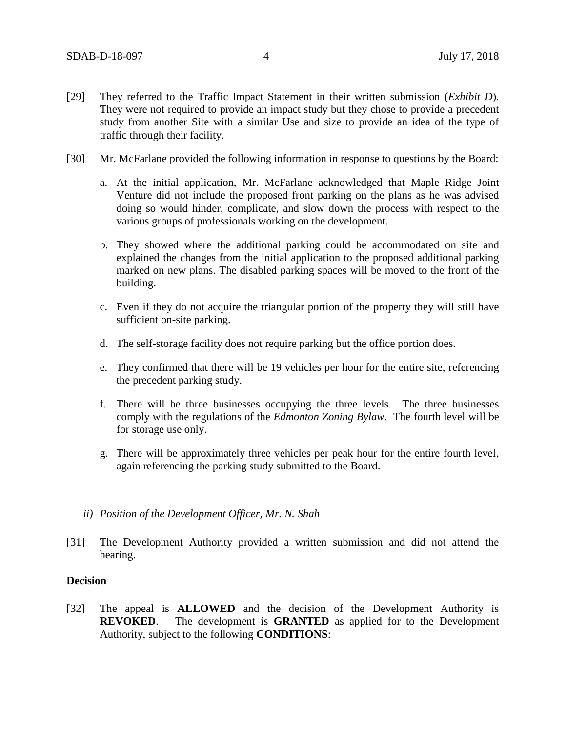- [29] They referred to the Traffic Impact Statement in their written submission (*Exhibit D*). They were not required to provide an impact study but they chose to provide a precedent study from another Site with a similar Use and size to provide an idea of the type of traffic through their facility.
- [30] Mr. McFarlane provided the following information in response to questions by the Board:
	- a. At the initial application, Mr. McFarlane acknowledged that Maple Ridge Joint Venture did not include the proposed front parking on the plans as he was advised doing so would hinder, complicate, and slow down the process with respect to the various groups of professionals working on the development.
	- b. They showed where the additional parking could be accommodated on site and explained the changes from the initial application to the proposed additional parking marked on new plans. The disabled parking spaces will be moved to the front of the building.
	- c. Even if they do not acquire the triangular portion of the property they will still have sufficient on-site parking.
	- d. The self-storage facility does not require parking but the office portion does.
	- e. They confirmed that there will be 19 vehicles per hour for the entire site, referencing the precedent parking study.
	- f. There will be three businesses occupying the three levels. The three businesses comply with the regulations of the *Edmonton Zoning Bylaw*. The fourth level will be for storage use only.
	- g. There will be approximately three vehicles per peak hour for the entire fourth level, again referencing the parking study submitted to the Board.
	- *ii) Position of the Development Officer, Mr. N. Shah*
- [31] The Development Authority provided a written submission and did not attend the hearing.

#### **Decision**

[32] The appeal is **ALLOWED** and the decision of the Development Authority is **REVOKED**. The development is **GRANTED** as applied for to the Development Authority, subject to the following **CONDITIONS**: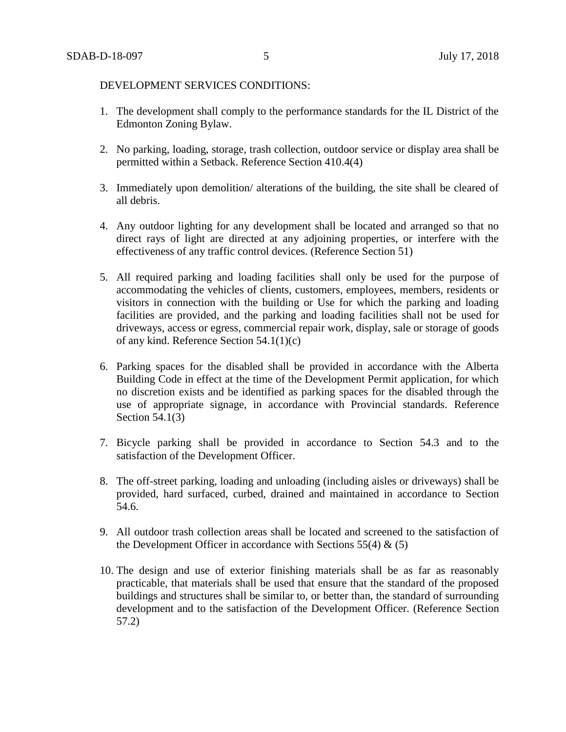#### DEVELOPMENT SERVICES CONDITIONS:

- 1. The development shall comply to the performance standards for the IL District of the Edmonton Zoning Bylaw.
- 2. No parking, loading, storage, trash collection, outdoor service or display area shall be permitted within a Setback. Reference Section 410.4(4)
- 3. Immediately upon demolition/ alterations of the building, the site shall be cleared of all debris.
- 4. Any outdoor lighting for any development shall be located and arranged so that no direct rays of light are directed at any adjoining properties, or interfere with the effectiveness of any traffic control devices. (Reference Section 51)
- 5. All required parking and loading facilities shall only be used for the purpose of accommodating the vehicles of clients, customers, employees, members, residents or visitors in connection with the building or Use for which the parking and loading facilities are provided, and the parking and loading facilities shall not be used for driveways, access or egress, commercial repair work, display, sale or storage of goods of any kind. Reference Section 54.1(1)(c)
- 6. Parking spaces for the disabled shall be provided in accordance with the Alberta Building Code in effect at the time of the Development Permit application, for which no discretion exists and be identified as parking spaces for the disabled through the use of appropriate signage, in accordance with Provincial standards. Reference Section  $\overline{54.1(3)}$
- 7. Bicycle parking shall be provided in accordance to Section 54.3 and to the satisfaction of the Development Officer.
- 8. The off-street parking, loading and unloading (including aisles or driveways) shall be provided, hard surfaced, curbed, drained and maintained in accordance to Section 54.6.
- 9. All outdoor trash collection areas shall be located and screened to the satisfaction of the Development Officer in accordance with Sections 55(4)  $\&$  (5)
- 10. The design and use of exterior finishing materials shall be as far as reasonably practicable, that materials shall be used that ensure that the standard of the proposed buildings and structures shall be similar to, or better than, the standard of surrounding development and to the satisfaction of the Development Officer. (Reference Section 57.2)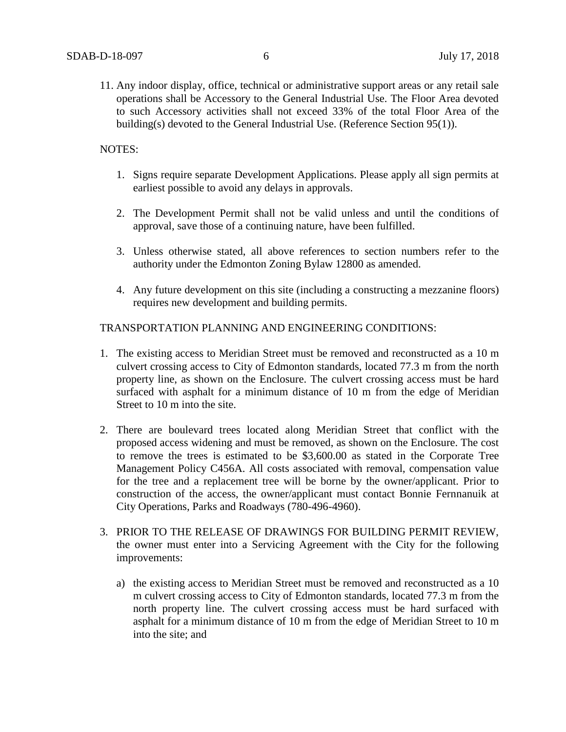11. Any indoor display, office, technical or administrative support areas or any retail sale operations shall be Accessory to the General Industrial Use. The Floor Area devoted to such Accessory activities shall not exceed 33% of the total Floor Area of the building(s) devoted to the General Industrial Use. (Reference Section 95(1)).

### NOTES:

- 1. Signs require separate Development Applications. Please apply all sign permits at earliest possible to avoid any delays in approvals.
- 2. The Development Permit shall not be valid unless and until the conditions of approval, save those of a continuing nature, have been fulfilled.
- 3. Unless otherwise stated, all above references to section numbers refer to the authority under the Edmonton Zoning Bylaw 12800 as amended.
- 4. Any future development on this site (including a constructing a mezzanine floors) requires new development and building permits.

#### TRANSPORTATION PLANNING AND ENGINEERING CONDITIONS:

- 1. The existing access to Meridian Street must be removed and reconstructed as a 10 m culvert crossing access to City of Edmonton standards, located 77.3 m from the north property line, as shown on the Enclosure. The culvert crossing access must be hard surfaced with asphalt for a minimum distance of 10 m from the edge of Meridian Street to 10 m into the site.
- 2. There are boulevard trees located along Meridian Street that conflict with the proposed access widening and must be removed, as shown on the Enclosure. The cost to remove the trees is estimated to be \$3,600.00 as stated in the Corporate Tree Management Policy C456A. All costs associated with removal, compensation value for the tree and a replacement tree will be borne by the owner/applicant. Prior to construction of the access, the owner/applicant must contact Bonnie Fernnanuik at City Operations, Parks and Roadways (780-496-4960).
- 3. PRIOR TO THE RELEASE OF DRAWINGS FOR BUILDING PERMIT REVIEW, the owner must enter into a Servicing Agreement with the City for the following improvements:
	- a) the existing access to Meridian Street must be removed and reconstructed as a 10 m culvert crossing access to City of Edmonton standards, located 77.3 m from the north property line. The culvert crossing access must be hard surfaced with asphalt for a minimum distance of 10 m from the edge of Meridian Street to 10 m into the site; and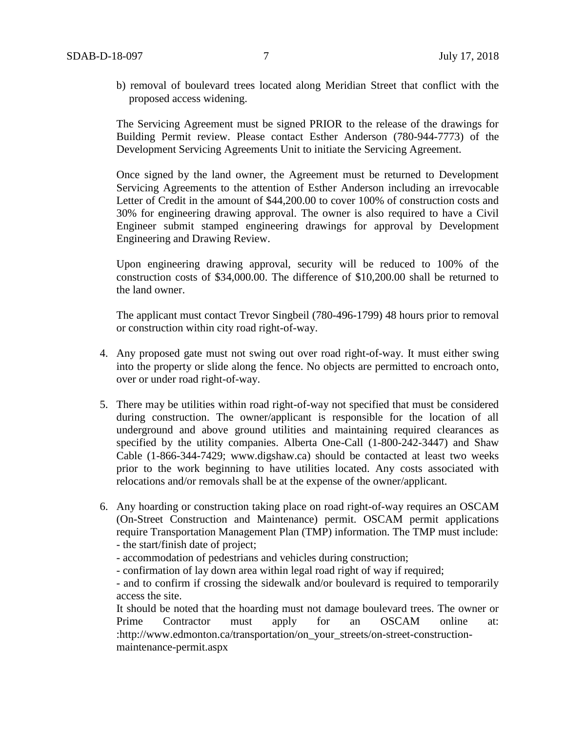b) removal of boulevard trees located along Meridian Street that conflict with the proposed access widening.

The Servicing Agreement must be signed PRIOR to the release of the drawings for Building Permit review. Please contact Esther Anderson (780-944-7773) of the Development Servicing Agreements Unit to initiate the Servicing Agreement.

Once signed by the land owner, the Agreement must be returned to Development Servicing Agreements to the attention of Esther Anderson including an irrevocable Letter of Credit in the amount of \$44,200.00 to cover 100% of construction costs and 30% for engineering drawing approval. The owner is also required to have a Civil Engineer submit stamped engineering drawings for approval by Development Engineering and Drawing Review.

Upon engineering drawing approval, security will be reduced to 100% of the construction costs of \$34,000.00. The difference of \$10,200.00 shall be returned to the land owner.

The applicant must contact Trevor Singbeil (780-496-1799) 48 hours prior to removal or construction within city road right-of-way.

- 4. Any proposed gate must not swing out over road right-of-way. It must either swing into the property or slide along the fence. No objects are permitted to encroach onto, over or under road right-of-way.
- 5. There may be utilities within road right-of-way not specified that must be considered during construction. The owner/applicant is responsible for the location of all underground and above ground utilities and maintaining required clearances as specified by the utility companies. Alberta One-Call (1-800-242-3447) and Shaw Cable (1-866-344-7429; www.digshaw.ca) should be contacted at least two weeks prior to the work beginning to have utilities located. Any costs associated with relocations and/or removals shall be at the expense of the owner/applicant.
- 6. Any hoarding or construction taking place on road right-of-way requires an OSCAM (On-Street Construction and Maintenance) permit. OSCAM permit applications require Transportation Management Plan (TMP) information. The TMP must include: - the start/finish date of project;
	- accommodation of pedestrians and vehicles during construction;
	- confirmation of lay down area within legal road right of way if required;

- and to confirm if crossing the sidewalk and/or boulevard is required to temporarily access the site.

It should be noted that the hoarding must not damage boulevard trees. The owner or Prime Contractor must apply for an OSCAM online at: :http://www.edmonton.ca/transportation/on\_your\_streets/on-street-constructionmaintenance-permit.aspx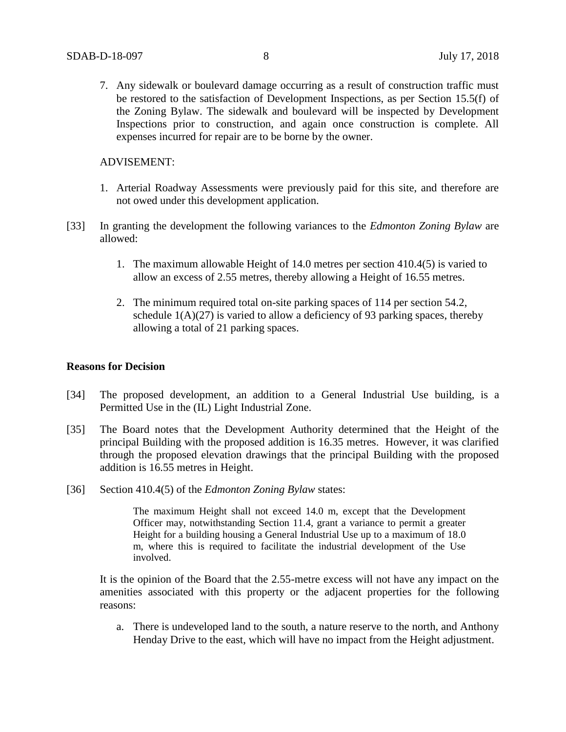7. Any sidewalk or boulevard damage occurring as a result of construction traffic must be restored to the satisfaction of Development Inspections, as per Section 15.5(f) of the Zoning Bylaw. The sidewalk and boulevard will be inspected by Development Inspections prior to construction, and again once construction is complete. All expenses incurred for repair are to be borne by the owner.

#### ADVISEMENT:

- 1. Arterial Roadway Assessments were previously paid for this site, and therefore are not owed under this development application.
- [33] In granting the development the following variances to the *Edmonton Zoning Bylaw* are allowed:
	- 1. The maximum allowable Height of 14.0 metres per section 410.4(5) is varied to allow an excess of 2.55 metres, thereby allowing a Height of 16.55 metres.
	- 2. The minimum required total on-site parking spaces of 114 per section 54.2, schedule  $1(A)(27)$  is varied to allow a deficiency of 93 parking spaces, thereby allowing a total of 21 parking spaces.

#### **Reasons for Decision**

- [34] The proposed development, an addition to a General Industrial Use building, is a Permitted Use in the (IL) Light Industrial Zone.
- [35] The Board notes that the Development Authority determined that the Height of the principal Building with the proposed addition is 16.35 metres. However, it was clarified through the proposed elevation drawings that the principal Building with the proposed addition is 16.55 metres in Height.
- [36] Section 410.4(5) of the *Edmonton Zoning Bylaw* states:

The maximum Height shall not exceed 14.0 m, except that the Development Officer may, notwithstanding Section 11.4, grant a variance to permit a greater Height for a building housing a General Industrial Use up to a maximum of 18.0 m, where this is required to facilitate the industrial development of the Use involved.

It is the opinion of the Board that the 2.55-metre excess will not have any impact on the amenities associated with this property or the adjacent properties for the following reasons:

a. There is undeveloped land to the south, a nature reserve to the north, and Anthony Henday Drive to the east, which will have no impact from the Height adjustment.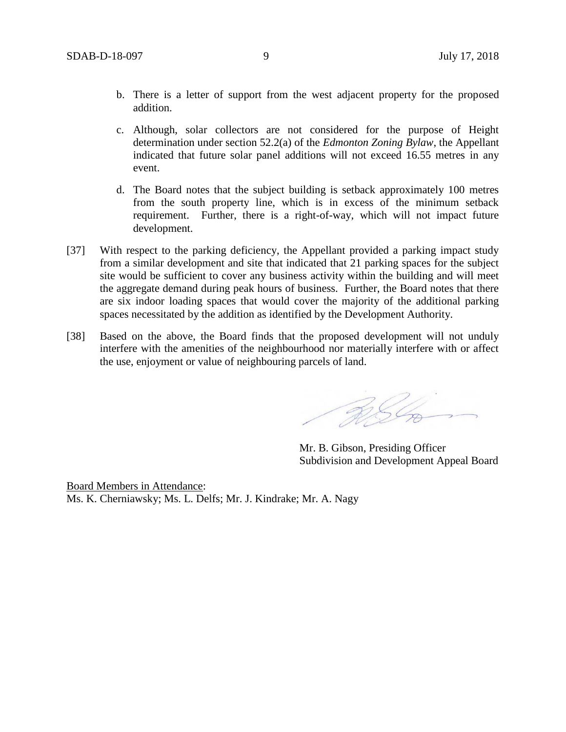- b. There is a letter of support from the west adjacent property for the proposed addition.
- c. Although, solar collectors are not considered for the purpose of Height determination under section 52.2(a) of the *Edmonton Zoning Bylaw*, the Appellant indicated that future solar panel additions will not exceed 16.55 metres in any event.
- d. The Board notes that the subject building is setback approximately 100 metres from the south property line, which is in excess of the minimum setback requirement. Further, there is a right-of-way, which will not impact future development.
- [37] With respect to the parking deficiency, the Appellant provided a parking impact study from a similar development and site that indicated that 21 parking spaces for the subject site would be sufficient to cover any business activity within the building and will meet the aggregate demand during peak hours of business. Further, the Board notes that there are six indoor loading spaces that would cover the majority of the additional parking spaces necessitated by the addition as identified by the Development Authority.
- [38] Based on the above, the Board finds that the proposed development will not unduly interfere with the amenities of the neighbourhood nor materially interfere with or affect the use, enjoyment or value of neighbouring parcels of land.

RSL

Mr. B. Gibson, Presiding Officer Subdivision and Development Appeal Board

Board Members in Attendance: Ms. K. Cherniawsky; Ms. L. Delfs; Mr. J. Kindrake; Mr. A. Nagy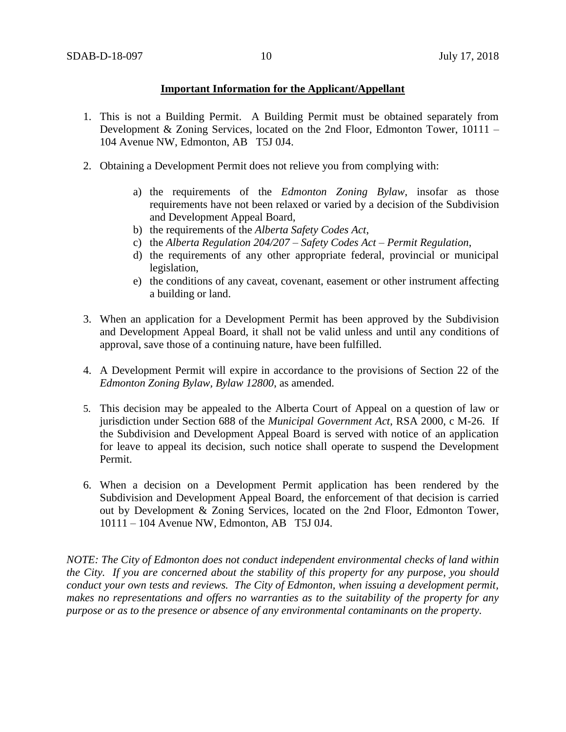### **Important Information for the Applicant/Appellant**

- 1. This is not a Building Permit. A Building Permit must be obtained separately from Development & Zoning Services, located on the 2nd Floor, Edmonton Tower, 10111 – 104 Avenue NW, Edmonton, AB T5J 0J4.
- 2. Obtaining a Development Permit does not relieve you from complying with:
	- a) the requirements of the *Edmonton Zoning Bylaw*, insofar as those requirements have not been relaxed or varied by a decision of the Subdivision and Development Appeal Board,
	- b) the requirements of the *Alberta Safety Codes Act*,
	- c) the *Alberta Regulation 204/207 – Safety Codes Act – Permit Regulation*,
	- d) the requirements of any other appropriate federal, provincial or municipal legislation,
	- e) the conditions of any caveat, covenant, easement or other instrument affecting a building or land.
- 3. When an application for a Development Permit has been approved by the Subdivision and Development Appeal Board, it shall not be valid unless and until any conditions of approval, save those of a continuing nature, have been fulfilled.
- 4. A Development Permit will expire in accordance to the provisions of Section 22 of the *Edmonton Zoning Bylaw, Bylaw 12800*, as amended.
- 5. This decision may be appealed to the Alberta Court of Appeal on a question of law or jurisdiction under Section 688 of the *Municipal Government Act*, RSA 2000, c M-26. If the Subdivision and Development Appeal Board is served with notice of an application for leave to appeal its decision, such notice shall operate to suspend the Development Permit.
- 6. When a decision on a Development Permit application has been rendered by the Subdivision and Development Appeal Board, the enforcement of that decision is carried out by Development & Zoning Services, located on the 2nd Floor, Edmonton Tower, 10111 – 104 Avenue NW, Edmonton, AB T5J 0J4.

*NOTE: The City of Edmonton does not conduct independent environmental checks of land within the City. If you are concerned about the stability of this property for any purpose, you should conduct your own tests and reviews. The City of Edmonton, when issuing a development permit, makes no representations and offers no warranties as to the suitability of the property for any purpose or as to the presence or absence of any environmental contaminants on the property.*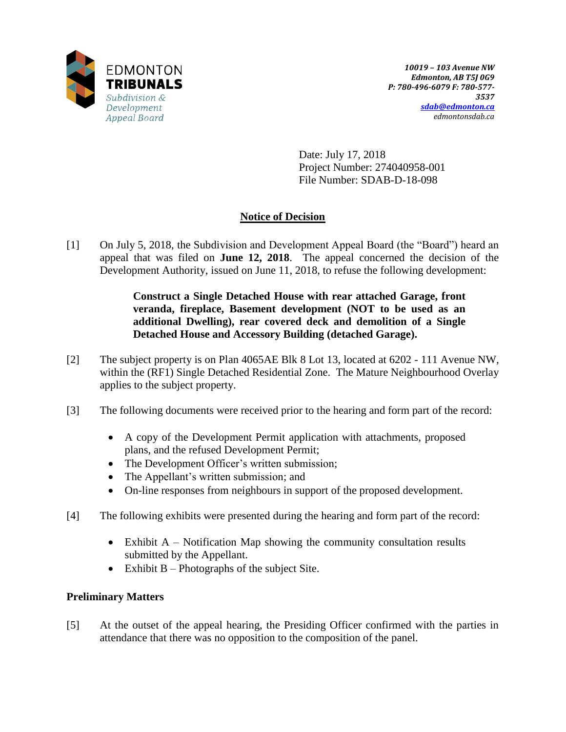

Date: July 17, 2018 Project Number: 274040958-001 File Number: SDAB-D-18-098

# **Notice of Decision**

[1] On July 5, 2018, the Subdivision and Development Appeal Board (the "Board") heard an appeal that was filed on **June 12, 2018**. The appeal concerned the decision of the Development Authority, issued on June 11, 2018, to refuse the following development:

> **Construct a Single Detached House with rear attached Garage, front veranda, fireplace, Basement development (NOT to be used as an additional Dwelling), rear covered deck and demolition of a Single Detached House and Accessory Building (detached Garage).**

- [2] The subject property is on Plan 4065AE Blk 8 Lot 13, located at 6202 111 Avenue NW, within the (RF1) Single Detached Residential Zone. The Mature Neighbourhood Overlay applies to the subject property.
- [3] The following documents were received prior to the hearing and form part of the record:
	- A copy of the Development Permit application with attachments, proposed plans, and the refused Development Permit;
	- The Development Officer's written submission;
	- The Appellant's written submission; and
	- On-line responses from neighbours in support of the proposed development.
- [4] The following exhibits were presented during the hearing and form part of the record:
	- Exhibit  $A$  Notification Map showing the community consultation results submitted by the Appellant.
	- $\bullet$  Exhibit B Photographs of the subject Site.

# **Preliminary Matters**

[5] At the outset of the appeal hearing, the Presiding Officer confirmed with the parties in attendance that there was no opposition to the composition of the panel.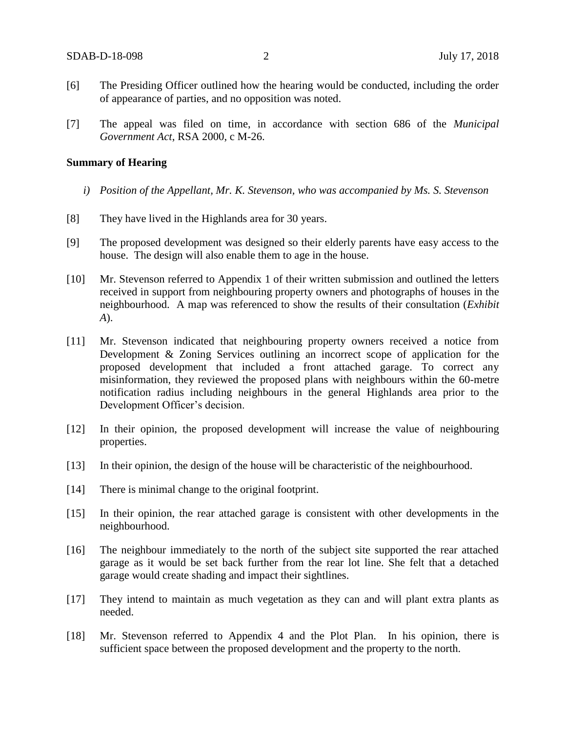- [6] The Presiding Officer outlined how the hearing would be conducted, including the order of appearance of parties, and no opposition was noted.
- [7] The appeal was filed on time, in accordance with section 686 of the *Municipal Government Act*, RSA 2000, c M-26.

#### **Summary of Hearing**

- *i) Position of the Appellant, Mr. K. Stevenson, who was accompanied by Ms. S. Stevenson*
- [8] They have lived in the Highlands area for 30 years.
- [9] The proposed development was designed so their elderly parents have easy access to the house. The design will also enable them to age in the house.
- [10] Mr. Stevenson referred to Appendix 1 of their written submission and outlined the letters received in support from neighbouring property owners and photographs of houses in the neighbourhood. A map was referenced to show the results of their consultation (*Exhibit A*).
- [11] Mr. Stevenson indicated that neighbouring property owners received a notice from Development & Zoning Services outlining an incorrect scope of application for the proposed development that included a front attached garage. To correct any misinformation, they reviewed the proposed plans with neighbours within the 60-metre notification radius including neighbours in the general Highlands area prior to the Development Officer's decision.
- [12] In their opinion, the proposed development will increase the value of neighbouring properties.
- [13] In their opinion, the design of the house will be characteristic of the neighbourhood.
- [14] There is minimal change to the original footprint.
- [15] In their opinion, the rear attached garage is consistent with other developments in the neighbourhood.
- [16] The neighbour immediately to the north of the subject site supported the rear attached garage as it would be set back further from the rear lot line. She felt that a detached garage would create shading and impact their sightlines.
- [17] They intend to maintain as much vegetation as they can and will plant extra plants as needed.
- [18] Mr. Stevenson referred to Appendix 4 and the Plot Plan. In his opinion, there is sufficient space between the proposed development and the property to the north.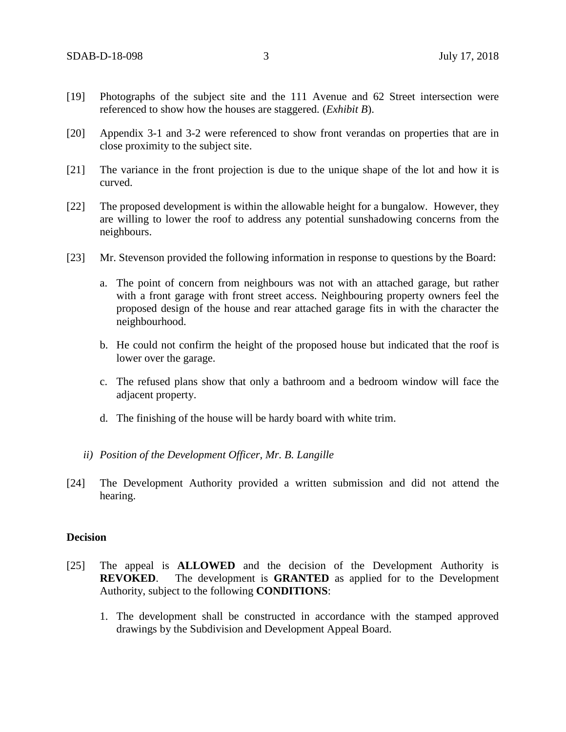- [19] Photographs of the subject site and the 111 Avenue and 62 Street intersection were referenced to show how the houses are staggered. (*Exhibit B*).
- [20] Appendix 3-1 and 3-2 were referenced to show front verandas on properties that are in close proximity to the subject site.
- [21] The variance in the front projection is due to the unique shape of the lot and how it is curved.
- [22] The proposed development is within the allowable height for a bungalow. However, they are willing to lower the roof to address any potential sunshadowing concerns from the neighbours.
- [23] Mr. Stevenson provided the following information in response to questions by the Board:
	- a. The point of concern from neighbours was not with an attached garage, but rather with a front garage with front street access. Neighbouring property owners feel the proposed design of the house and rear attached garage fits in with the character the neighbourhood.
	- b. He could not confirm the height of the proposed house but indicated that the roof is lower over the garage.
	- c. The refused plans show that only a bathroom and a bedroom window will face the adjacent property.
	- d. The finishing of the house will be hardy board with white trim.
	- *ii) Position of the Development Officer, Mr. B. Langille*
- [24] The Development Authority provided a written submission and did not attend the hearing.

#### **Decision**

- [25] The appeal is **ALLOWED** and the decision of the Development Authority is **REVOKED**. The development is **GRANTED** as applied for to the Development Authority, subject to the following **CONDITIONS**:
	- 1. The development shall be constructed in accordance with the stamped approved drawings by the Subdivision and Development Appeal Board.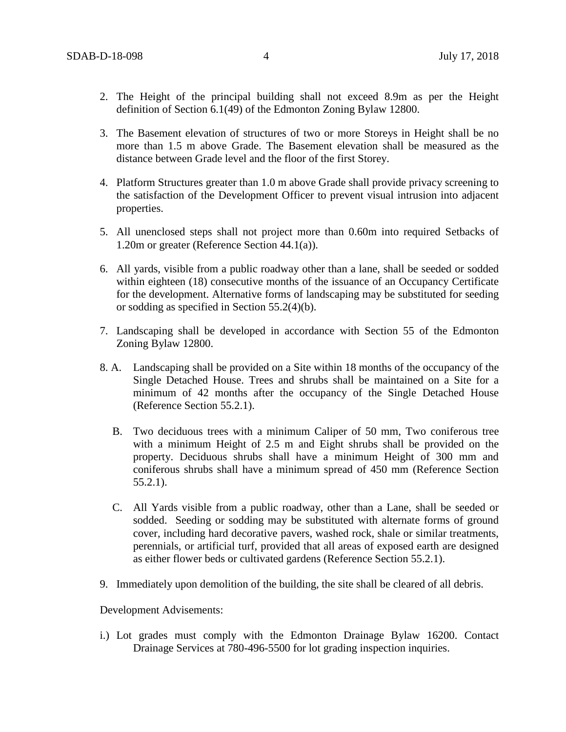- 2. The Height of the principal building shall not exceed 8.9m as per the Height definition of Section 6.1(49) of the Edmonton Zoning Bylaw 12800.
- 3. The Basement elevation of structures of two or more Storeys in Height shall be no more than 1.5 m above Grade. The Basement elevation shall be measured as the distance between Grade level and the floor of the first Storey.
- 4. Platform Structures greater than 1.0 m above Grade shall provide privacy screening to the satisfaction of the Development Officer to prevent visual intrusion into adjacent properties.
- 5. All unenclosed steps shall not project more than 0.60m into required Setbacks of 1.20m or greater (Reference Section 44.1(a)).
- 6. All yards, visible from a public roadway other than a lane, shall be seeded or sodded within eighteen (18) consecutive months of the issuance of an Occupancy Certificate for the development. Alternative forms of landscaping may be substituted for seeding or sodding as specified in Section 55.2(4)(b).
- 7. Landscaping shall be developed in accordance with Section 55 of the Edmonton Zoning Bylaw 12800.
- 8. A. Landscaping shall be provided on a Site within 18 months of the occupancy of the Single Detached House. Trees and shrubs shall be maintained on a Site for a minimum of 42 months after the occupancy of the Single Detached House (Reference Section 55.2.1).
	- B. Two deciduous trees with a minimum Caliper of 50 mm, Two coniferous tree with a minimum Height of 2.5 m and Eight shrubs shall be provided on the property. Deciduous shrubs shall have a minimum Height of 300 mm and coniferous shrubs shall have a minimum spread of 450 mm (Reference Section 55.2.1).
	- C. All Yards visible from a public roadway, other than a Lane, shall be seeded or sodded. Seeding or sodding may be substituted with alternate forms of ground cover, including hard decorative pavers, washed rock, shale or similar treatments, perennials, or artificial turf, provided that all areas of exposed earth are designed as either flower beds or cultivated gardens (Reference Section 55.2.1).
- 9. Immediately upon demolition of the building, the site shall be cleared of all debris.

Development Advisements:

i.) Lot grades must comply with the Edmonton Drainage Bylaw 16200. Contact Drainage Services at 780-496-5500 for lot grading inspection inquiries.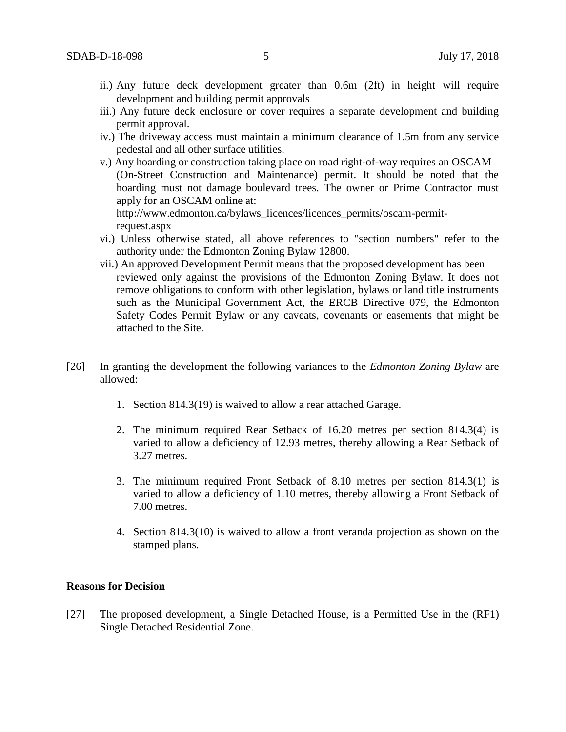- ii.) Any future deck development greater than 0.6m (2ft) in height will require development and building permit approvals
- iii.) Any future deck enclosure or cover requires a separate development and building permit approval.
- iv.) The driveway access must maintain a minimum clearance of 1.5m from any service pedestal and all other surface utilities.
- v.) Any hoarding or construction taking place on road right-of-way requires an OSCAM (On-Street Construction and Maintenance) permit. It should be noted that the hoarding must not damage boulevard trees. The owner or Prime Contractor must apply for an OSCAM online at: http://www.edmonton.ca/bylaws\_licences/licences\_permits/oscam-permit-

request.aspx

- vi.) Unless otherwise stated, all above references to "section numbers" refer to the authority under the Edmonton Zoning Bylaw 12800.
- vii.) An approved Development Permit means that the proposed development has been reviewed only against the provisions of the Edmonton Zoning Bylaw. It does not remove obligations to conform with other legislation, bylaws or land title instruments such as the Municipal Government Act, the ERCB Directive 079, the Edmonton Safety Codes Permit Bylaw or any caveats, covenants or easements that might be attached to the Site.
- [26] In granting the development the following variances to the *Edmonton Zoning Bylaw* are allowed:
	- 1. Section 814.3(19) is waived to allow a rear attached Garage.
	- 2. The minimum required Rear Setback of 16.20 metres per section 814.3(4) is varied to allow a deficiency of 12.93 metres, thereby allowing a Rear Setback of 3.27 metres.
	- 3. The minimum required Front Setback of 8.10 metres per section 814.3(1) is varied to allow a deficiency of 1.10 metres, thereby allowing a Front Setback of 7.00 metres.
	- 4. Section 814.3(10) is waived to allow a front veranda projection as shown on the stamped plans.

#### **Reasons for Decision**

[27] The proposed development, a Single Detached House, is a Permitted Use in the (RF1) Single Detached Residential Zone.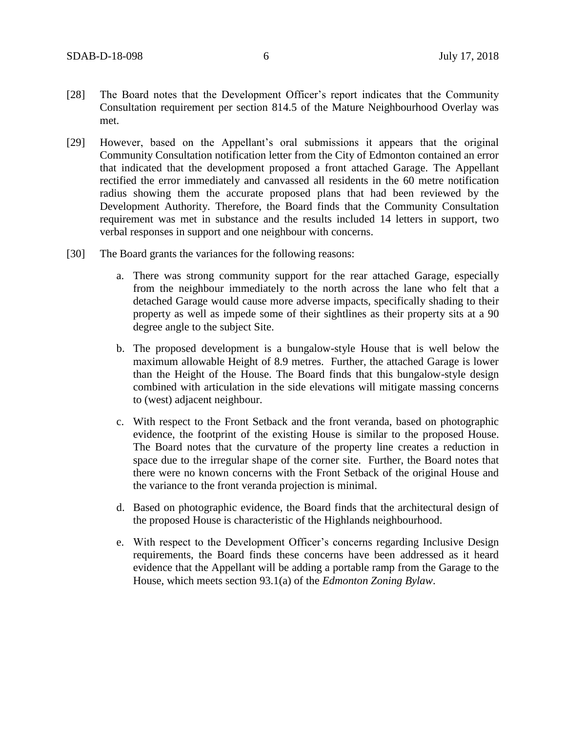- [28] The Board notes that the Development Officer's report indicates that the Community Consultation requirement per section 814.5 of the Mature Neighbourhood Overlay was met.
- [29] However, based on the Appellant's oral submissions it appears that the original Community Consultation notification letter from the City of Edmonton contained an error that indicated that the development proposed a front attached Garage. The Appellant rectified the error immediately and canvassed all residents in the 60 metre notification radius showing them the accurate proposed plans that had been reviewed by the Development Authority. Therefore, the Board finds that the Community Consultation requirement was met in substance and the results included 14 letters in support, two verbal responses in support and one neighbour with concerns.
- [30] The Board grants the variances for the following reasons:
	- a. There was strong community support for the rear attached Garage, especially from the neighbour immediately to the north across the lane who felt that a detached Garage would cause more adverse impacts, specifically shading to their property as well as impede some of their sightlines as their property sits at a 90 degree angle to the subject Site.
	- b. The proposed development is a bungalow-style House that is well below the maximum allowable Height of 8.9 metres. Further, the attached Garage is lower than the Height of the House. The Board finds that this bungalow-style design combined with articulation in the side elevations will mitigate massing concerns to (west) adjacent neighbour.
	- c. With respect to the Front Setback and the front veranda, based on photographic evidence, the footprint of the existing House is similar to the proposed House. The Board notes that the curvature of the property line creates a reduction in space due to the irregular shape of the corner site. Further, the Board notes that there were no known concerns with the Front Setback of the original House and the variance to the front veranda projection is minimal.
	- d. Based on photographic evidence, the Board finds that the architectural design of the proposed House is characteristic of the Highlands neighbourhood.
	- e. With respect to the Development Officer's concerns regarding Inclusive Design requirements, the Board finds these concerns have been addressed as it heard evidence that the Appellant will be adding a portable ramp from the Garage to the House, which meets section 93.1(a) of the *Edmonton Zoning Bylaw*.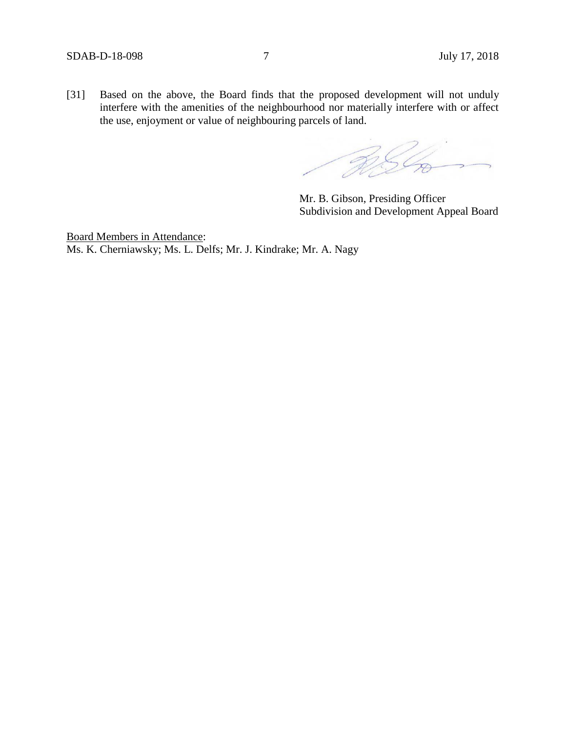[31] Based on the above, the Board finds that the proposed development will not unduly interfere with the amenities of the neighbourhood nor materially interfere with or affect the use, enjoyment or value of neighbouring parcels of land.

RSL

Mr. B. Gibson, Presiding Officer Subdivision and Development Appeal Board

Board Members in Attendance: Ms. K. Cherniawsky; Ms. L. Delfs; Mr. J. Kindrake; Mr. A. Nagy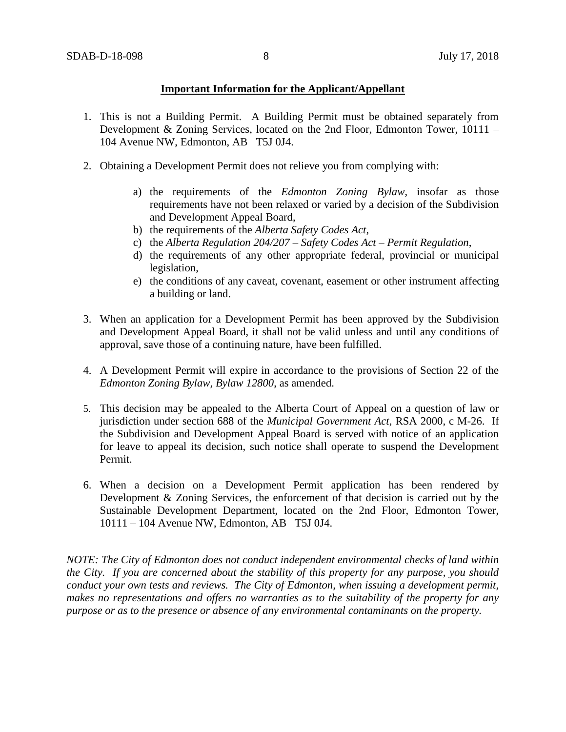## **Important Information for the Applicant/Appellant**

- 1. This is not a Building Permit. A Building Permit must be obtained separately from Development & Zoning Services, located on the 2nd Floor, Edmonton Tower, 10111 – 104 Avenue NW, Edmonton, AB T5J 0J4.
- 2. Obtaining a Development Permit does not relieve you from complying with:
	- a) the requirements of the *Edmonton Zoning Bylaw*, insofar as those requirements have not been relaxed or varied by a decision of the Subdivision and Development Appeal Board,
	- b) the requirements of the *Alberta Safety Codes Act*,
	- c) the *Alberta Regulation 204/207 – Safety Codes Act – Permit Regulation*,
	- d) the requirements of any other appropriate federal, provincial or municipal legislation,
	- e) the conditions of any caveat, covenant, easement or other instrument affecting a building or land.
- 3. When an application for a Development Permit has been approved by the Subdivision and Development Appeal Board, it shall not be valid unless and until any conditions of approval, save those of a continuing nature, have been fulfilled.
- 4. A Development Permit will expire in accordance to the provisions of Section 22 of the *Edmonton Zoning Bylaw, Bylaw 12800*, as amended.
- 5. This decision may be appealed to the Alberta Court of Appeal on a question of law or jurisdiction under section 688 of the *Municipal Government Act*, RSA 2000, c M-26. If the Subdivision and Development Appeal Board is served with notice of an application for leave to appeal its decision, such notice shall operate to suspend the Development Permit.
- 6. When a decision on a Development Permit application has been rendered by Development & Zoning Services, the enforcement of that decision is carried out by the Sustainable Development Department, located on the 2nd Floor, Edmonton Tower, 10111 – 104 Avenue NW, Edmonton, AB T5J 0J4.

*NOTE: The City of Edmonton does not conduct independent environmental checks of land within the City. If you are concerned about the stability of this property for any purpose, you should conduct your own tests and reviews. The City of Edmonton, when issuing a development permit, makes no representations and offers no warranties as to the suitability of the property for any purpose or as to the presence or absence of any environmental contaminants on the property.*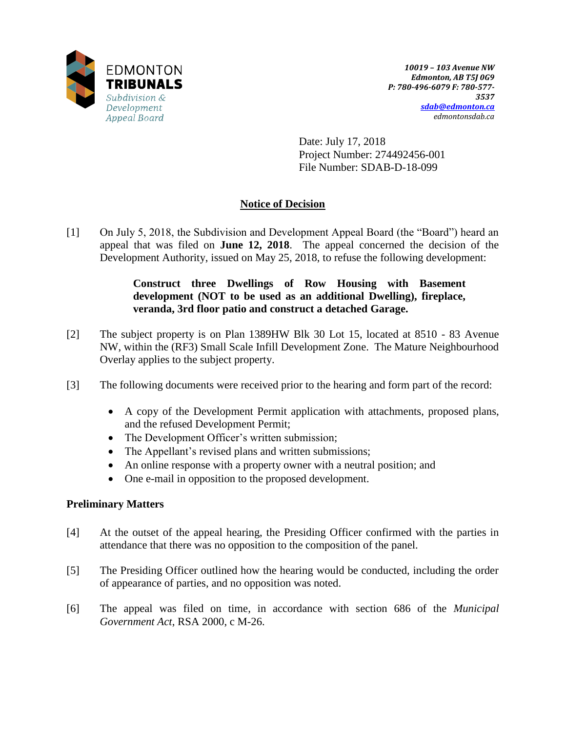

Date: July 17, 2018 Project Number: 274492456-001 File Number: SDAB-D-18-099

# **Notice of Decision**

[1] On July 5, 2018, the Subdivision and Development Appeal Board (the "Board") heard an appeal that was filed on **June 12, 2018**. The appeal concerned the decision of the Development Authority, issued on May 25, 2018, to refuse the following development:

## **Construct three Dwellings of Row Housing with Basement development (NOT to be used as an additional Dwelling), fireplace, veranda, 3rd floor patio and construct a detached Garage.**

- [2] The subject property is on Plan 1389HW Blk 30 Lot 15, located at 8510 83 Avenue NW, within the (RF3) Small Scale Infill Development Zone. The Mature Neighbourhood Overlay applies to the subject property.
- [3] The following documents were received prior to the hearing and form part of the record:
	- A copy of the Development Permit application with attachments, proposed plans, and the refused Development Permit;
	- The Development Officer's written submission;
	- The Appellant's revised plans and written submissions;
	- An online response with a property owner with a neutral position; and
	- One e-mail in opposition to the proposed development.

## **Preliminary Matters**

- [4] At the outset of the appeal hearing, the Presiding Officer confirmed with the parties in attendance that there was no opposition to the composition of the panel.
- [5] The Presiding Officer outlined how the hearing would be conducted, including the order of appearance of parties, and no opposition was noted.
- [6] The appeal was filed on time, in accordance with section 686 of the *Municipal Government Act*, RSA 2000, c M-26.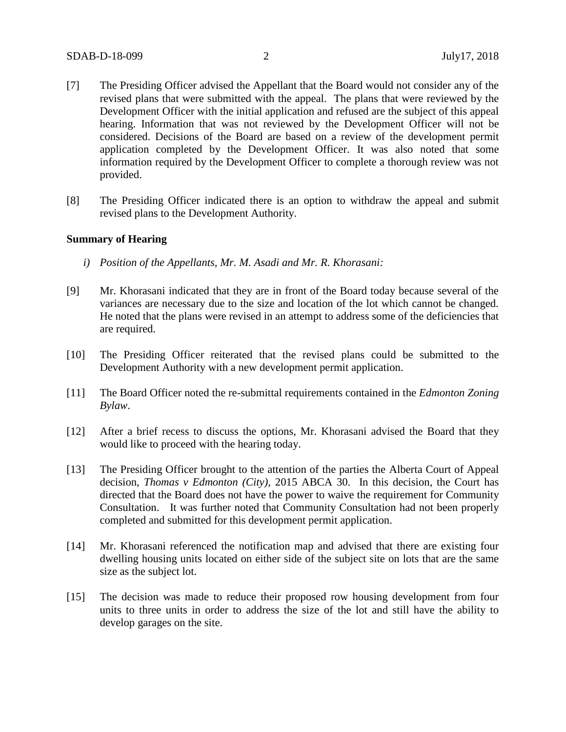- [7] The Presiding Officer advised the Appellant that the Board would not consider any of the revised plans that were submitted with the appeal. The plans that were reviewed by the Development Officer with the initial application and refused are the subject of this appeal hearing. Information that was not reviewed by the Development Officer will not be considered. Decisions of the Board are based on a review of the development permit application completed by the Development Officer. It was also noted that some information required by the Development Officer to complete a thorough review was not provided.
- [8] The Presiding Officer indicated there is an option to withdraw the appeal and submit revised plans to the Development Authority.

#### **Summary of Hearing**

- *i) Position of the Appellants, Mr. M. Asadi and Mr. R. Khorasani:*
- [9] Mr. Khorasani indicated that they are in front of the Board today because several of the variances are necessary due to the size and location of the lot which cannot be changed. He noted that the plans were revised in an attempt to address some of the deficiencies that are required.
- [10] The Presiding Officer reiterated that the revised plans could be submitted to the Development Authority with a new development permit application.
- [11] The Board Officer noted the re-submittal requirements contained in the *Edmonton Zoning Bylaw*.
- [12] After a brief recess to discuss the options, Mr. Khorasani advised the Board that they would like to proceed with the hearing today.
- [13] The Presiding Officer brought to the attention of the parties the Alberta Court of Appeal decision, *Thomas v Edmonton (City)*, 2015 ABCA 30. In this decision, the Court has directed that the Board does not have the power to waive the requirement for Community Consultation. It was further noted that Community Consultation had not been properly completed and submitted for this development permit application.
- [14] Mr. Khorasani referenced the notification map and advised that there are existing four dwelling housing units located on either side of the subject site on lots that are the same size as the subject lot.
- [15] The decision was made to reduce their proposed row housing development from four units to three units in order to address the size of the lot and still have the ability to develop garages on the site.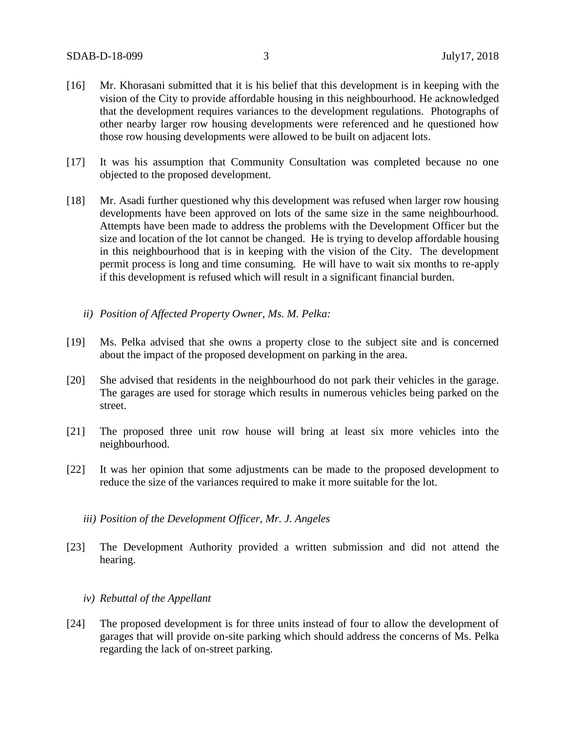- [16] Mr. Khorasani submitted that it is his belief that this development is in keeping with the vision of the City to provide affordable housing in this neighbourhood. He acknowledged that the development requires variances to the development regulations. Photographs of other nearby larger row housing developments were referenced and he questioned how those row housing developments were allowed to be built on adjacent lots.
- [17] It was his assumption that Community Consultation was completed because no one objected to the proposed development.
- [18] Mr. Asadi further questioned why this development was refused when larger row housing developments have been approved on lots of the same size in the same neighbourhood. Attempts have been made to address the problems with the Development Officer but the size and location of the lot cannot be changed. He is trying to develop affordable housing in this neighbourhood that is in keeping with the vision of the City. The development permit process is long and time consuming. He will have to wait six months to re-apply if this development is refused which will result in a significant financial burden.
	- *ii) Position of Affected Property Owner, Ms. M. Pelka:*
- [19] Ms. Pelka advised that she owns a property close to the subject site and is concerned about the impact of the proposed development on parking in the area.
- [20] She advised that residents in the neighbourhood do not park their vehicles in the garage. The garages are used for storage which results in numerous vehicles being parked on the street.
- [21] The proposed three unit row house will bring at least six more vehicles into the neighbourhood.
- [22] It was her opinion that some adjustments can be made to the proposed development to reduce the size of the variances required to make it more suitable for the lot.
	- *iii) Position of the Development Officer, Mr. J. Angeles*
- [23] The Development Authority provided a written submission and did not attend the hearing.
	- *iv) Rebuttal of the Appellant*
- [24] The proposed development is for three units instead of four to allow the development of garages that will provide on-site parking which should address the concerns of Ms. Pelka regarding the lack of on-street parking.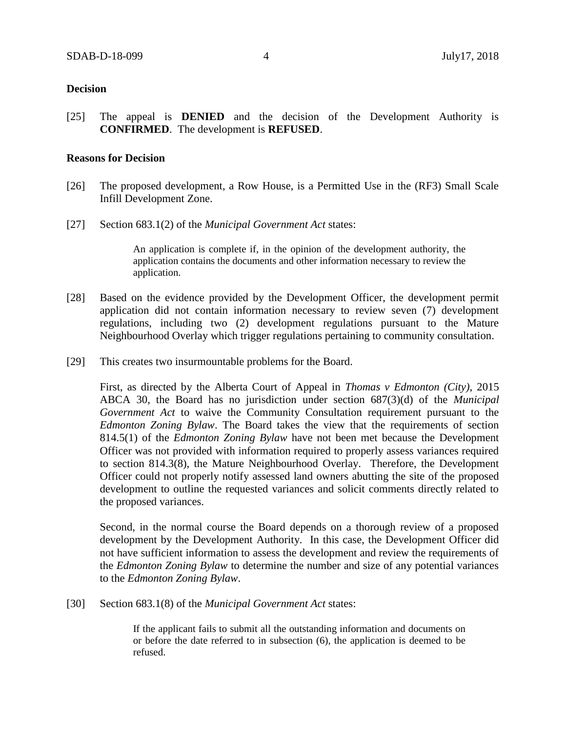#### **Decision**

[25] The appeal is **DENIED** and the decision of the Development Authority is **CONFIRMED**. The development is **REFUSED**.

## **Reasons for Decision**

- [26] The proposed development, a Row House, is a Permitted Use in the (RF3) Small Scale Infill Development Zone.
- [27] Section 683.1(2) of the *Municipal Government Act* states:

An application is complete if, in the opinion of the development authority, the application contains the documents and other information necessary to review the application.

- [28] Based on the evidence provided by the Development Officer, the development permit application did not contain information necessary to review seven (7) development regulations, including two (2) development regulations pursuant to the Mature Neighbourhood Overlay which trigger regulations pertaining to community consultation.
- [29] This creates two insurmountable problems for the Board.

First, as directed by the Alberta Court of Appeal in *Thomas v Edmonton (City)*, 2015 ABCA 30, the Board has no jurisdiction under section 687(3)(d) of the *Municipal Government Act* to waive the Community Consultation requirement pursuant to the *Edmonton Zoning Bylaw*. The Board takes the view that the requirements of section 814.5(1) of the *Edmonton Zoning Bylaw* have not been met because the Development Officer was not provided with information required to properly assess variances required to section 814.3(8), the Mature Neighbourhood Overlay. Therefore, the Development Officer could not properly notify assessed land owners abutting the site of the proposed development to outline the requested variances and solicit comments directly related to the proposed variances.

Second, in the normal course the Board depends on a thorough review of a proposed development by the Development Authority. In this case, the Development Officer did not have sufficient information to assess the development and review the requirements of the *Edmonton Zoning Bylaw* to determine the number and size of any potential variances to the *Edmonton Zoning Bylaw*.

[30] Section 683.1(8) of the *Municipal Government Act* states:

If the applicant fails to submit all the outstanding information and documents on or before the date referred to in subsection (6), the application is deemed to be refused.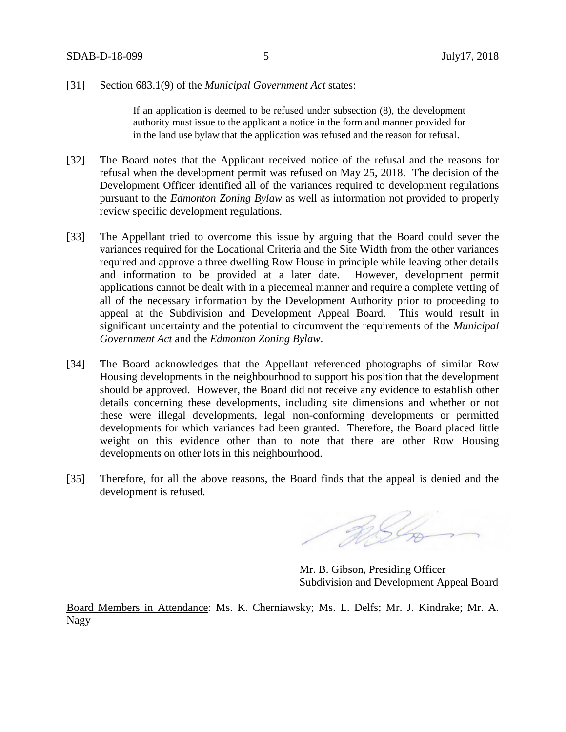#### [31] Section 683.1(9) of the *Municipal Government Act* states:

If an application is deemed to be refused under subsection (8), the development authority must issue to the applicant a notice in the form and manner provided for in the land use bylaw that the application was refused and the reason for refusal.

- [32] The Board notes that the Applicant received notice of the refusal and the reasons for refusal when the development permit was refused on May 25, 2018. The decision of the Development Officer identified all of the variances required to development regulations pursuant to the *Edmonton Zoning Bylaw* as well as information not provided to properly review specific development regulations.
- [33] The Appellant tried to overcome this issue by arguing that the Board could sever the variances required for the Locational Criteria and the Site Width from the other variances required and approve a three dwelling Row House in principle while leaving other details and information to be provided at a later date. However, development permit applications cannot be dealt with in a piecemeal manner and require a complete vetting of all of the necessary information by the Development Authority prior to proceeding to appeal at the Subdivision and Development Appeal Board. This would result in significant uncertainty and the potential to circumvent the requirements of the *Municipal Government Act* and the *Edmonton Zoning Bylaw*.
- [34] The Board acknowledges that the Appellant referenced photographs of similar Row Housing developments in the neighbourhood to support his position that the development should be approved. However, the Board did not receive any evidence to establish other details concerning these developments, including site dimensions and whether or not these were illegal developments, legal non-conforming developments or permitted developments for which variances had been granted. Therefore, the Board placed little weight on this evidence other than to note that there are other Row Housing developments on other lots in this neighbourhood.
- [35] Therefore, for all the above reasons, the Board finds that the appeal is denied and the development is refused.

RSL

Mr. B. Gibson, Presiding Officer Subdivision and Development Appeal Board

Board Members in Attendance: Ms. K. Cherniawsky; Ms. L. Delfs; Mr. J. Kindrake; Mr. A. Nagy